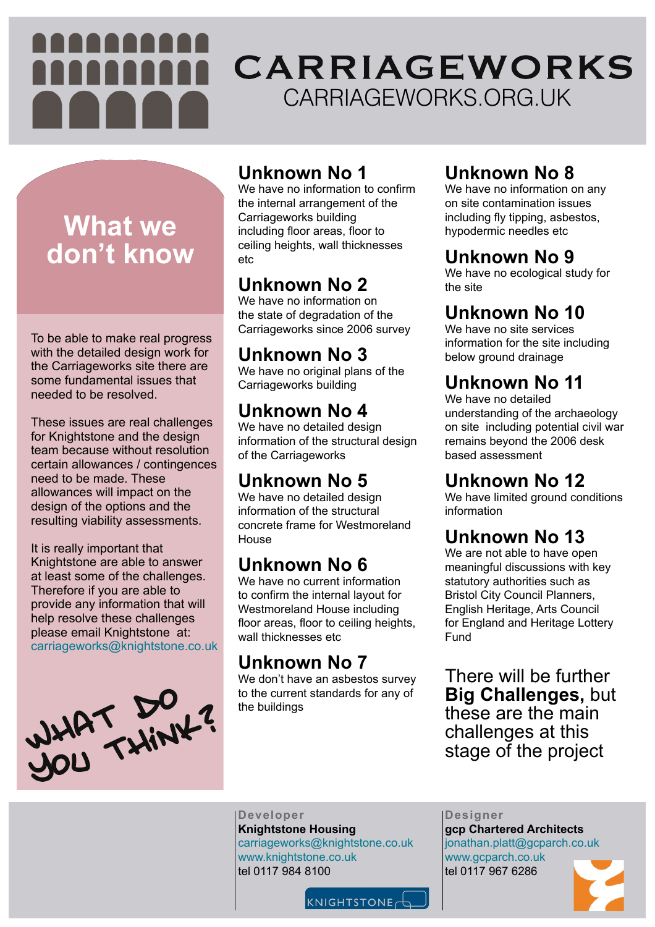#### **Unknown No 1**

We have no information to confirm the internal arrangement of the Carriageworks building including floor areas, floor to ceiling heights, wall thicknesses etc

We have no original plans of the Carriageworks building

#### **Unknown No 2**

We have no detailed design information of the structural design of the Carriageworks

We have no information on the state of degradation of the Carriageworks since 2006 survey

We have no detailed design information of the structural concrete frame for Westmoreland House

#### **Unknown No 3**

## **Unknown No 4**

We don't have an asbestos survey to the current standards for any of

# **Unknown No 5**

We have no information on any on site contamination issues including fly tipping, asbestos, hypodermic needles etc

We have no site services information for the site including

#### **Unknown No 6**

We have no current information to confirm the internal layout for Westmoreland House including floor areas, floor to ceiling heights, wall thicknesses etc

We have limited ground conditions information

# **Unknown No 7**

We are not able to have open meaningful discussions with key statutory authorities such as Bristol City Council Planners, English Heritage, Arts Council for England and Heritage Lottery Fund

the buildings

#### **Unknown No 8**

# CARRIAGEWORKS CARRIAGEWORKS.ORG.UK

#### **Unknown No 9**

We have no ecological study for the site

# **Unknown No 10**

below ground drainage

## **Unknown No 11**

We have no detailed understanding of the archaeology on site including potential civil war remains beyond the 2006 desk based assessment

# **Unknown No 12**

# **Unknown No 13**

#### There will be further **Big Challenges,** but



these are the main challenges at this stage of the project

# **What we don't know**

**Designer gcp Chartered Architects** jonathan.platt@gcparch.co.uk www.gcparch.co.uk tel 0117 967 6286



**Developer Knightstone Housing** carriageworks@knightstone.co.uk www.knightstone.co.uk tel 0117 984 8100

KNIGHTSTONE

To be able to make real progress with the detailed design work for the Carriageworks site there are some fundamental issues that needed to be resolved.

These issues are real challenges for Knightstone and the design team because without resolution certain allowances / contingences need to be made. These allowances will impact on the design of the options and the resulting viability assessments.

It is really important that Knightstone are able to answer at least some of the challenges. Therefore if you are able to provide any information that will help resolve these challenges please email Knightstone at: carriageworks@knightstone.co.uk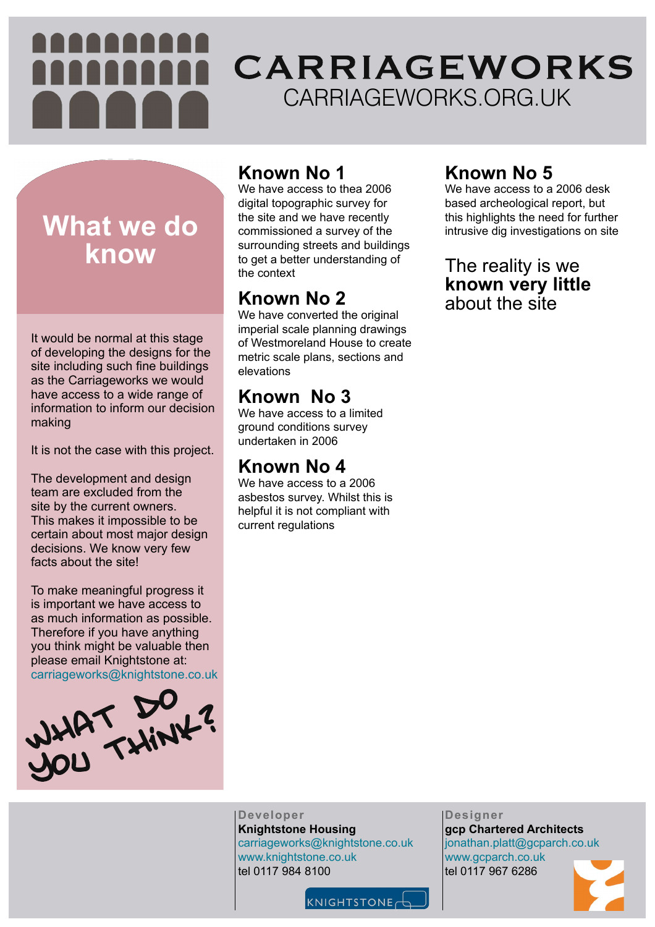#### **Known No 1**

We have access to thea 2006 digital topographic survey for the site and we have recently commissioned a survey of the surrounding streets and buildings to get a better understanding of the context

We have converted the original imperial scale planning drawings of Westmoreland House to create metric scale plans, sections and elevations

#### **Known No 2**

#### **Known No 3**

We have access to a limited ground conditions survey undertaken in 2006

#### **Known No 4**

# CARRIAGEWORKS CARRIAGEWORKS.ORG.UK

We have access to a 2006 asbestos survey. Whilst this is helpful it is not compliant with current regulations



### **Known No 5**

We have access to a 2006 desk based archeological report, but this highlights the need for further intrusive dig investigations on site

#### The reality is we **known very little** about the site

It is not the case with this project.

# **What we do know**

**Designer gcp Chartered Architects** jonathan.platt@gcparch.co.uk www.gcparch.co.uk tel 0117 967 6286



**Developer Knightstone Housing** carriageworks@knightstone.co.uk www.knightstone.co.uk tel 0117 984 8100



It would be normal at this stage of developing the designs for the site including such fine buildings as the Carriageworks we would have access to a wide range of information to inform our decision making

The development and design team are excluded from the site by the current owners. This makes it impossible to be certain about most major design decisions. We know very few facts about the site!

To make meaningful progress it is important we have access to as much information as possible. Therefore if you have anything you think might be valuable then please email Knightstone at: carriageworks@knightstone.co.uk